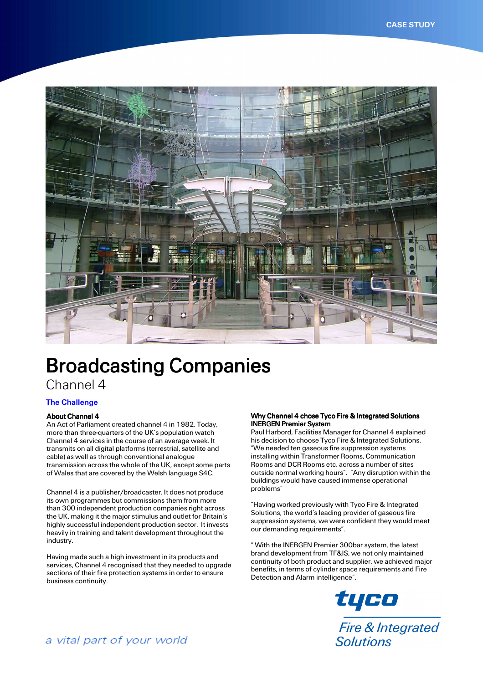

# Broadcasting Companies

# Channel 4

# **The Challenge**

### About Channel 4

An Act of Parliament created channel 4 in 1982. Today, more than three-quarters of the UK's population watch Channel 4 services in the course of an average week. It transmits on all digital platforms (terrestrial, satellite and cable) as well as through conventional analogue transmission across the whole of the UK, except some parts of Wales that are covered by the Welsh language S4C.

Channel 4 is a publisher/broadcaster. It does not produce its own programmes but commissions them from more than 300 independent production companies right across the UK, making it the major stimulus and outlet for Britain's highly successful independent production sector. It invests heavily in training and talent development throughout the industry.

Having made such a high investment in its products and services. Channel 4 recognised that they needed to upgrade sections of their fire protection systems in order to ensure business continuity.

### Why Channel 4 chose Tyco Fire & Integrated Solutions **INERGEN Premier System**

Paul Harbord, Facilities Manager for Channel 4 explained his decision to choose Tyco Fire & Integrated Solutions. "We needed ten gaseous fire suppression systems installing within Transformer Rooms, Communication Rooms and DCR Rooms etc. across a number of sites outside normal working hours". "Any disruption within the buildings would have caused immense operational problems"

"Having worked previously with Tyco Fire & Integrated Solutions, the world's leading provider of gaseous fire suppression systems, we were confident they would meet our demanding requirements".

" With the INERGEN Premier 300bar system, the latest brand development from TF&IS, we not only maintained continuity of both product and supplier, we achieved major benefits, in terms of cylinder space requirements and Fire Detection and Alarm intelligence".